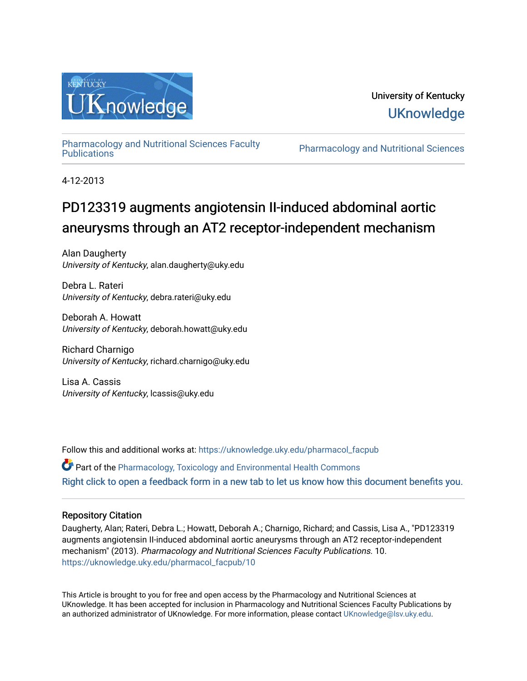

## University of Kentucky **UKnowledge**

[Pharmacology and Nutritional Sciences Faculty](https://uknowledge.uky.edu/pharmacol_facpub)

Pharmacology and Nutritional Sciences

4-12-2013

# PD123319 augments angiotensin II-induced abdominal aortic aneurysms through an AT2 receptor-independent mechanism

Alan Daugherty University of Kentucky, alan.daugherty@uky.edu

Debra L. Rateri University of Kentucky, debra.rateri@uky.edu

Deborah A. Howatt University of Kentucky, deborah.howatt@uky.edu

Richard Charnigo University of Kentucky, richard.charnigo@uky.edu

Lisa A. Cassis University of Kentucky, lcassis@uky.edu

Follow this and additional works at: [https://uknowledge.uky.edu/pharmacol\\_facpub](https://uknowledge.uky.edu/pharmacol_facpub?utm_source=uknowledge.uky.edu%2Fpharmacol_facpub%2F10&utm_medium=PDF&utm_campaign=PDFCoverPages)

Part of the [Pharmacology, Toxicology and Environmental Health Commons](http://network.bepress.com/hgg/discipline/63?utm_source=uknowledge.uky.edu%2Fpharmacol_facpub%2F10&utm_medium=PDF&utm_campaign=PDFCoverPages)  [Right click to open a feedback form in a new tab to let us know how this document benefits you.](https://uky.az1.qualtrics.com/jfe/form/SV_9mq8fx2GnONRfz7)

### Repository Citation

Daugherty, Alan; Rateri, Debra L.; Howatt, Deborah A.; Charnigo, Richard; and Cassis, Lisa A., "PD123319 augments angiotensin II-induced abdominal aortic aneurysms through an AT2 receptor-independent mechanism" (2013). Pharmacology and Nutritional Sciences Faculty Publications. 10. [https://uknowledge.uky.edu/pharmacol\\_facpub/10](https://uknowledge.uky.edu/pharmacol_facpub/10?utm_source=uknowledge.uky.edu%2Fpharmacol_facpub%2F10&utm_medium=PDF&utm_campaign=PDFCoverPages) 

This Article is brought to you for free and open access by the Pharmacology and Nutritional Sciences at UKnowledge. It has been accepted for inclusion in Pharmacology and Nutritional Sciences Faculty Publications by an authorized administrator of UKnowledge. For more information, please contact [UKnowledge@lsv.uky.edu](mailto:UKnowledge@lsv.uky.edu).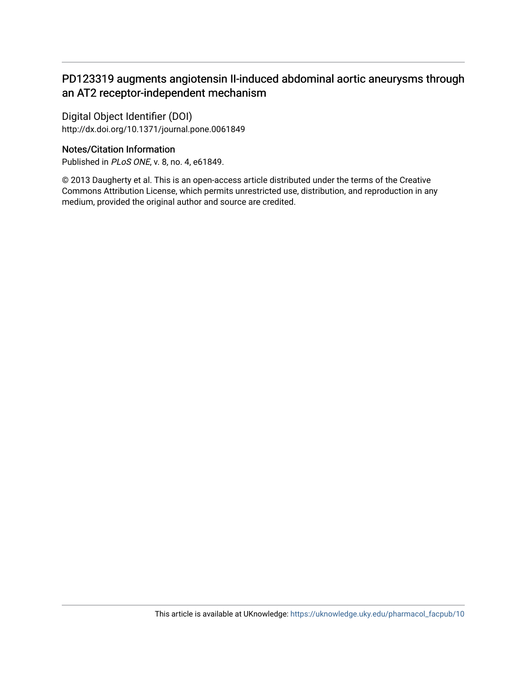## PD123319 augments angiotensin II-induced abdominal aortic aneurysms through an AT2 receptor-independent mechanism

Digital Object Identifier (DOI) http://dx.doi.org/10.1371/journal.pone.0061849

## Notes/Citation Information

Published in PLoS ONE, v. 8, no. 4, e61849.

© 2013 Daugherty et al. This is an open-access article distributed under the terms of the Creative Commons Attribution License, which permits unrestricted use, distribution, and reproduction in any medium, provided the original author and source are credited.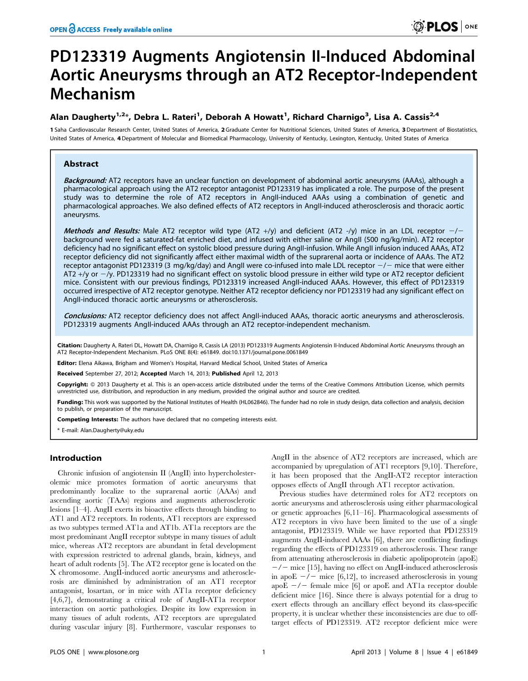# PD123319 Augments Angiotensin II-Induced Abdominal Aortic Aneurysms through an AT2 Receptor-Independent Mechanism

### Alan Daugherty<sup>1,2</sup>\*, Debra L. Rateri<sup>1</sup>, Deborah A Howatt<sup>1</sup>, Richard Charnigo<sup>3</sup>, Lisa A. Cassis<sup>2,4</sup>

1 Saha Cardiovascular Research Center, United States of America, 2 Graduate Center for Nutritional Sciences, United States of America, 3 Department of Biostatistics, United States of America, 4Department of Molecular and Biomedical Pharmacology, University of Kentucky, Lexington, Kentucky, United States of America

#### Abstract

Background: AT2 receptors have an unclear function on development of abdominal aortic aneurysms (AAAs), although a pharmacological approach using the AT2 receptor antagonist PD123319 has implicated a role. The purpose of the present study was to determine the role of AT2 receptors in AngII-induced AAAs using a combination of genetic and pharmacological approaches. We also defined effects of AT2 receptors in AngII-induced atherosclerosis and thoracic aortic aneurysms.

Methods and Results: Male AT2 receptor wild type (AT2 +/y) and deficient (AT2 -/y) mice in an LDL receptor  $-/$ background were fed a saturated-fat enriched diet, and infused with either saline or AngII (500 ng/kg/min). AT2 receptor deficiency had no significant effect on systolic blood pressure during AngII-infusion. While AngII infusion induced AAAs, AT2 receptor deficiency did not significantly affect either maximal width of the suprarenal aorta or incidence of AAAs. The AT2 receptor antagonist PD123319 (3 mg/kg/day) and AngII were co-infused into male LDL receptor  $-/-$  mice that were either AT2 +/y or  $-\gamma$ . PD123319 had no significant effect on systolic blood pressure in either wild type or AT2 receptor deficient mice. Consistent with our previous findings, PD123319 increased AngII-induced AAAs. However, this effect of PD123319 occurred irrespective of AT2 receptor genotype. Neither AT2 receptor deficiency nor PD123319 had any significant effect on AngII-induced thoracic aortic aneurysms or atherosclerosis.

Conclusions: AT2 receptor deficiency does not affect AngII-induced AAAs, thoracic aortic aneurysms and atherosclerosis. PD123319 augments AngII-induced AAAs through an AT2 receptor-independent mechanism.

Citation: Daugherty A, Rateri DL, Howatt DA, Charnigo R, Cassis LA (2013) PD123319 Augments Angiotensin II-Induced Abdominal Aortic Aneurysms through an AT2 Receptor-Independent Mechanism. PLoS ONE 8(4): e61849. doi:10.1371/journal.pone.0061849

Editor: Elena Aikawa, Brigham and Women's Hospital, Harvard Medical School, United States of America

Received September 27, 2012; Accepted March 14, 2013; Published April 12, 2013

Copyright: © 2013 Daugherty et al. This is an open-access article distributed under the terms of the Creative Commons Attribution License, which permits unrestricted use, distribution, and reproduction in any medium, provided the original author and source are credited.

Funding: This work was supported by the National Institutes of Health (HL062846). The funder had no role in study design, data collection and analysis, decision to publish, or preparation of the manuscript.

Competing Interests: The authors have declared that no competing interests exist.

\* E-mail: Alan.Daugherty@uky.edu

#### Introduction

Chronic infusion of angiotensin II (AngII) into hypercholesterolemic mice promotes formation of aortic aneurysms that predominantly localize to the suprarenal aortic (AAAs) and ascending aortic (TAAs) regions and augments atherosclerotic lesions [1–4]. AngII exerts its bioactive effects through binding to AT1 and AT2 receptors. In rodents, AT1 receptors are expressed as two subtypes termed AT1a and AT1b. AT1a receptors are the most predominant AngII receptor subtype in many tissues of adult mice, whereas AT2 receptors are abundant in fetal development with expression restricted to adrenal glands, brain, kidneys, and heart of adult rodents [5]. The AT2 receptor gene is located on the X chromosome. AngII-induced aortic aneurysms and atherosclerosis are diminished by administration of an AT1 receptor antagonist, losartan, or in mice with AT1a receptor deficiency [4,6,7], demonstrating a critical role of AngII-AT1a receptor interaction on aortic pathologies. Despite its low expression in many tissues of adult rodents, AT2 receptors are upregulated during vascular injury [8]. Furthermore, vascular responses to

AngII in the absence of AT2 receptors are increased, which are accompanied by upregulation of AT1 receptors [9,10]. Therefore, it has been proposed that the AngII-AT2 receptor interaction opposes effects of AngII through AT1 receptor activation.

Previous studies have determined roles for AT2 receptors on aortic aneurysms and atherosclerosis using either pharmacological or genetic approaches [6,11–16]. Pharmacological assessments of AT2 receptors in vivo have been limited to the use of a single antagonist, PD123319. While we have reported that PD123319 augments AngII-induced AAAs [6], there are conflicting findings regarding the effects of PD123319 on atherosclerosis. These range from attenuating atherosclerosis in diabetic apolipoprotein (apoE)  $-\prime$  mice [15], having no effect on AngII-induced atherosclerosis in apoE  $-\prime$  mice [6,12], to increased atherosclerosis in young apoE  $-\prime$  female mice [6] or apoE and AT1a receptor double deficient mice [16]. Since there is always potential for a drug to exert effects through an ancillary effect beyond its class-specific property, it is unclear whether these inconsistencies are due to offtarget effects of PD123319. AT2 receptor deficient mice were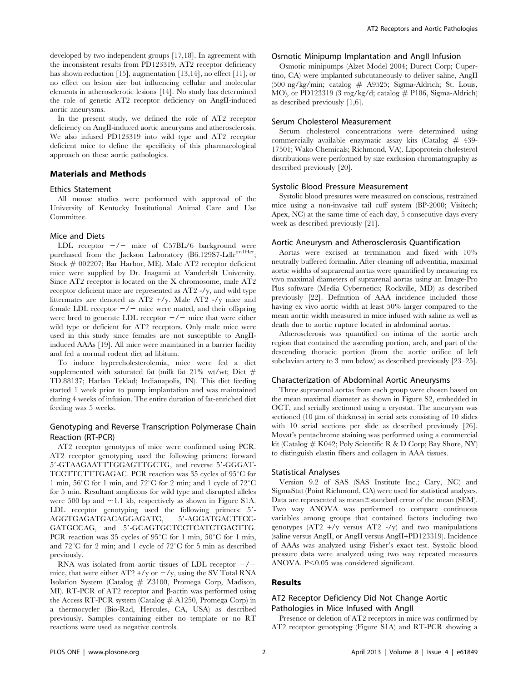developed by two independent groups [17,18]. In agreement with the inconsistent results from PD123319, AT2 receptor deficiency has shown reduction [15], augmentation [13,14], no effect [11], or no effect on lesion size but influencing cellular and molecular elements in atherosclerotic lesions [14]. No study has determined the role of genetic AT2 receptor deficiency on AngII-induced aortic aneurysms.

In the present study, we defined the role of AT2 receptor deficiency on AngII-induced aortic aneurysms and atherosclerosis. We also infused PD123319 into wild type and AT2 receptor deficient mice to define the specificity of this pharmacological approach on these aortic pathologies.

#### Materials and Methods

#### Ethics Statement

All mouse studies were performed with approval of the University of Kentucky Institutional Animal Care and Use Committee.

#### Mice and Diets

LDL receptor  $-\prime$  mice of C57BL/6 background were purchased from the Jackson Laboratory (B6.129S7-Ldlr<sup>tm1Her</sup>; Stock # 002207; Bar Harbor, ME). Male AT2 receptor deficient mice were supplied by Dr. Inagami at Vanderbilt University. Since AT2 receptor is located on the X chromosome, male AT2 receptor deficient mice are represented as AT2 -/y, and wild type littermates are denoted as AT2 +/y. Male AT2 -/y mice and female LDL receptor  $-/-$  mice were mated, and their offspring were bred to generate LDL receptor  $-\prime$  mice that were either wild type or deficient for AT2 receptors. Only male mice were used in this study since females are not susceptible to AngIIinduced AAAs [19]. All mice were maintained in a barrier facility and fed a normal rodent diet ad libitum.

To induce hypercholesterolemia, mice were fed a diet supplemented with saturated fat (milk fat 21% wt/wt; Diet  $#$ TD.88137; Harlan Teklad; Indianapolis, IN). This diet feeding started 1 week prior to pump implantation and was maintained during 4 weeks of infusion. The entire duration of fat-enriched diet feeding was 5 weeks.

#### Genotyping and Reverse Transcription Polymerase Chain Reaction (RT-PCR)

AT2 receptor genotypes of mice were confirmed using PCR. AT2 receptor genotyping used the following primers: forward 5'-GTAAGAATTTGGAGTTGCTG, and reverse 5'-GGGAT-TCCTTCTTTGAGAC. PCR reaction was 35 cycles of 95°C for 1 min,  $56^{\circ}$ C for 1 min, and  $72^{\circ}$ C for 2 min; and 1 cycle of  $72^{\circ}$ C for 5 min. Resultant amplicons for wild type and disrupted alleles were 500 bp and  $\sim$ 1.1 kb, respectively as shown in Figure S1A. LDL receptor genotyping used the following primers:  $5'$ -AGGTGAGATGACAGGAGATC, 5'-AGGATGACTTCC-GATGCCAG, and 5'-GCAGTGCTCCTCATCTGACTTG. PCR reaction was 35 cycles of 95 $\degree$ C for 1 min, 50 $\degree$ C for 1 min, and  $72^{\circ}$ C for 2 min; and 1 cycle of  $72^{\circ}$ C for 5 min as described previously.

RNA was isolated from aortic tissues of LDL receptor  $-\prime$ mice, that were either  $AT2 +/y$  or  $-\frac{y}{y}$ , using the SV Total RNA Isolation System (Catalog # Z3100, Promega Corp, Madison, MI). RT-PCR of AT2 receptor and  $\beta$ -actin was performed using the Access RT-PCR system (Catalog # A1250, Promega Corp) in a thermocycler (Bio-Rad, Hercules, CA, USA) as described previously. Samples containing either no template or no RT reactions were used as negative controls.

#### Osmotic Minipump Implantation and AngII Infusion

Osmotic minipumps (Alzet Model 2004; Durect Corp; Cupertino, CA) were implanted subcutaneously to deliver saline, AngII (500 ng/kg/min; catalog # A9525; Sigma-Aldrich; St. Louis, MO), or PD123319 (3 mg/kg/d; catalog  $#$  P186, Sigma-Aldrich) as described previously [1,6].

#### Serum Cholesterol Measurement

Serum cholesterol concentrations were determined using commercially available enzymatic assay kits (Catalog # 439- 17501; Wako Chemicals; Richmond, VA). Lipoprotein cholesterol distributions were performed by size exclusion chromatography as described previously [20].

#### Systolic Blood Pressure Measurement

Systolic blood pressures were measured on conscious, restrained mice using a non-invasive tail cuff system (BP-2000; Visitech; Apex, NC) at the same time of each day, 5 consecutive days every week as described previously [21].

#### Aortic Aneurysm and Atherosclerosis Quantification

Aortas were excised at termination and fixed with 10% neutrally buffered formalin. After cleaning off adventitia, maximal aortic widths of suprarenal aortas were quantified by measuring ex vivo maximal diameters of suprarenal aortas using an Image-Pro Plus software (Media Cybernetics; Rockville, MD) as described previously [22]. Definition of AAA incidence included those having ex vivo aortic width at least 50% larger compared to the mean aortic width measured in mice infused with saline as well as death due to aortic rupture located in abdominal aortas.

Atherosclerosis was quantified on intima of the aortic arch region that contained the ascending portion, arch, and part of the descending thoracic portion (from the aortic orifice of left subclavian artery to 3 mm below) as described previously [23–25].

#### Characterization of Abdominal Aortic Aneurysms

Three suprarenal aortas from each group were chosen based on the mean maximal diameter as shown in Figure S2, embedded in OCT, and serially sectioned using a cryostat. The aneurysm was sectioned  $(10 \mu m)$  of thickness) in serial sets consisting of 10 slides with 10 serial sections per slide as described previously [26]. Movat's pentachrome staining was performed using a commercial kit (Catalog  $# K042$ ; Poly Scientific R & D Corp; Bay Shore, NY) to distinguish elastin fibers and collagen in AAA tissues.

#### Statistical Analyses

Version 9.2 of SAS (SAS Institute Inc.; Cary, NC) and SigmaStat (Point Richmond, CA) were used for statistical analyses. Data are represented as mean $\pm$ standard error of the mean (SEM). Two way ANOVA was performed to compare continuous variables among groups that contained factors including two genotypes  $(AT2 + /y \text{ versus } AT2 - /y)$  and two manipulations (saline versus AngII, or AngII versus AngII+PD123319). Incidence of AAAs was analyzed using Fisher's exact test. Systolic blood pressure data were analyzed using two way repeated measures ANOVA.  $P<0.05$  was considered significant.

#### Results

#### AT2 Receptor Deficiency Did Not Change Aortic Pathologies in Mice Infused with AngII

Presence or deletion of AT2 receptors in mice was confirmed by AT2 receptor genotyping (Figure S1A) and RT-PCR showing a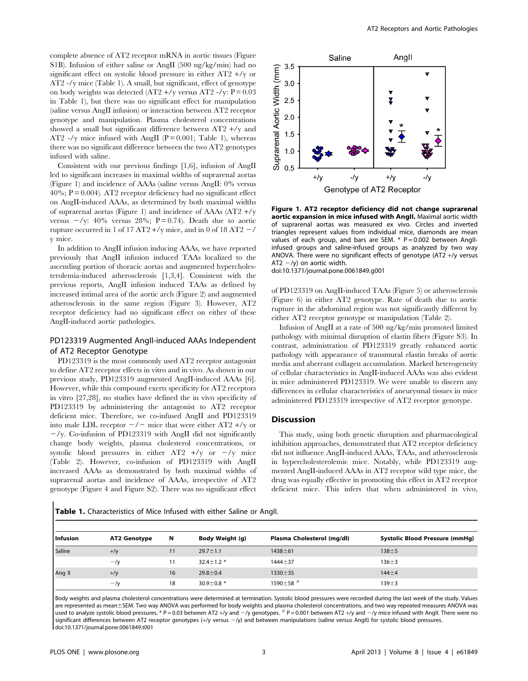complete absence of AT2 receptor mRNA in aortic tissues (Figure S1B). Infusion of either saline or AngII (500 ng/kg/min) had no significant effect on systolic blood pressure in either AT2 +/y or AT2 -/y mice (Table 1). A small, but significant, effect of genotype on body weights was detected  $(AT2 + /y \text{ versus AT2 } -/y: P = 0.03$ in Table 1), but there was no significant effect for manipulation (saline versus AngII infusion) or interaction between AT2 receptor genotype and manipulation. Plasma cholesterol concentrations showed a small but significant difference between AT2 +/y and AT2 -/y mice infused with AngII ( $P = 0.001$ ; Table 1), whereas there was no significant difference between the two AT2 genotypes infused with saline.

Consistent with our previous findings [1,6], infusion of AngII led to significant increases in maximal widths of suprarenal aortas (Figure 1) and incidence of AAAs (saline versus AngII: 0% versus  $40\%$ ; P = 0.004). AT2 receptor deficiency had no significant effect on AngII-induced AAAs, as determined by both maximal widths of suprarenal aortas (Figure 1) and incidence of AAAs (AT2 +/y versus  $-\gamma$ : 40% versus 28%; P = 0.74). Death due to aortic rupture occurred in 1 of 17 AT2 +/y mice, and in 0 of 18 AT2  $-$ / y mice.

In addition to AngII infusion inducing AAAs, we have reported previously that AngII infusion induced TAAs localized to the ascending portion of thoracic aortas and augmented hypercholesterolemia-induced atherosclerosis [1,3,4]. Consistent with the previous reports, AngII infusion induced TAAs as defined by increased intimal area of the aortic arch (Figure 2) and augmented atherosclerosis in the same region (Figure 3). However, AT2 receptor deficiency had no significant effect on either of these AngII-induced aortic pathologies.

#### PD123319 Augmented AngII-induced AAAs Independent of AT2 Receptor Genotype

PD123319 is the most commonly used AT2 receptor antagonist to define AT2 receptor effects in vitro and in vivo. As shown in our previous study, PD123319 augmented AngII-induced AAAs [6]. However, while this compound exerts specificity for AT2 receptors in vitro [27,28], no studies have defined the in vivo specificity of PD123319 by administering the antagonist to AT2 receptor deficient mice. Therefore, we co-infused AngII and PD123319 into male LDL receptor  $-\prime$  mice that were either AT2 +/y or  $-\gamma$ y. Co-infusion of PD123319 with AngII did not significantly change body weights, plasma cholesterol concentrations, or systolic blood pressures in either AT2  $+/y$  or  $-/y$  mice (Table 2). However, co-infusion of PD123319 with AngII increased AAAs as demonstrated by both maximal widths of suprarenal aortas and incidence of AAAs, irrespective of AT2 genotype (Figure 4 and Figure S2). There was no significant effect



Figure 1. AT2 receptor deficiency did not change suprarenal aortic expansion in mice infused with AngII. Maximal aortic width of suprarenal aortas was measured ex vivo. Circles and inverted triangles represent values from individual mice, diamonds are mean values of each group, and bars are SEM.  $*$  P = 0.002 between AngIIinfused groups and saline-infused groups as analyzed by two way ANOVA. There were no significant effects of genotype (AT2 +/y versus AT2  $-\prime$ y) on aortic width. doi:10.1371/journal.pone.0061849.g001

of PD123319 on AngII-induced TAAs (Figure 5) or atherosclerosis (Figure 6) in either AT2 genotype. Rate of death due to aortic rupture in the abdominal region was not significantly different by either AT2 receptor genotype or manipulation (Table 2).

Infusion of AngII at a rate of 500 ng/kg/min promoted limited pathology with minimal disruption of elastin fibers (Figure S3). In contrast, administration of PD123319 greatly enhanced aortic pathology with appearance of transmural elastin breaks of aortic media and aberrant collagen accumulation. Marked heterogeneity of cellular characteristics in AngII-induced AAAs was also evident in mice administered PD123319. We were unable to discern any differences in cellular characteristics of aneurysmal tissues in mice administered PD123319 irrespective of AT2 receptor genotype.

#### **Discussion**

This study, using both genetic disruption and pharmacological inhibition approaches, demonstrated that AT2 receptor deficiency did not influence AngII-induced AAAs, TAAs, and atherosclerosis in hypercholesterolemic mice. Notably, while PD123319 augmented AngII-induced AAAs in AT2 receptor wild type mice, the drug was equally effective in promoting this effect in AT2 receptor deficient mice. This infers that when administered in vivo,

Table 1. Characteristics of Mice Infused with either Saline or AngII.

| l Infusion | AT2 Genotype   | N  | Body Weight (g)    | Plasma Cholesterol (mg/dl) | <b>Systolic Blood Pressure (mmHg)</b> |
|------------|----------------|----|--------------------|----------------------------|---------------------------------------|
| Saline     | $+\frac{y}{y}$ |    | $29.7 \pm 1.1$     | $1438 + 61$                | $138 + 5$                             |
|            | $-\nu$         |    | $32.4 \pm 1.2$ *   | $1444 \pm 37$              | $136 + 3$                             |
| Ang II     | $+\frac{1}{y}$ | 16 | $29.8 \pm 0.4$     | $1330 \pm 35$              | $144 + 4$                             |
|            | $-y$           | 18 | 30.9 $\pm$ 0.8 $*$ | $1590 \pm 58$ #            | $139 + 3$                             |

Body weights and plasma cholesterol concentrations were determined at termination. Systolic blood pressures were recorded during the last week of the study. Values are represented as mean±SEM. Two way ANOVA was performed for body weights and plasma cholesterol concentrations, and two way repeated measures ANOVA was used to analyze systolic blood pressures. \* P = 0.03 between AT2 +/y and  $-\prime$ y genotypes.  $\#$  P = 0.001 between AT2 +/y and  $-\prime$ y mice infused with AngII. There were no significant differences between AT2 receptor genotypes (+/y versus -/y) and between manipulations (saline versus AngII) for systolic blood pressures. doi:10.1371/journal.pone.0061849.t001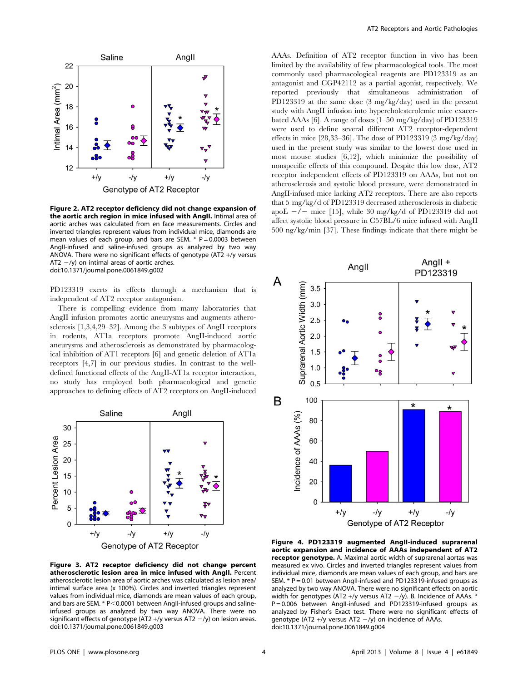

Figure 2. AT2 receptor deficiency did not change expansion of the aortic arch region in mice infused with AngII. Intimal area of aortic arches was calculated from en face measurements. Circles and inverted triangles represent values from individual mice, diamonds are mean values of each group, and bars are SEM.  $*$  P = 0.0003 between AngII-infused and saline-infused groups as analyzed by two way ANOVA. There were no significant effects of genotype (AT2 +/y versus AT2  $-\prime$ y) on intimal areas of aortic arches. doi:10.1371/journal.pone.0061849.g002

PD123319 exerts its effects through a mechanism that is independent of AT2 receptor antagonism.

There is compelling evidence from many laboratories that AngII infusion promotes aortic aneurysms and augments atherosclerosis [1,3,4,29–32]. Among the 3 subtypes of AngII receptors in rodents, AT1a receptors promote AngII-induced aortic aneurysms and atherosclerosis as demonstrated by pharmacological inhibition of AT1 receptors [6] and genetic deletion of AT1a receptors [4,7] in our previous studies. In contrast to the welldefined functional effects of the AngII-AT1a receptor interaction, no study has employed both pharmacological and genetic approaches to defining effects of AT2 receptors on AngII-induced



Figure 3. AT2 receptor deficiency did not change percent atherosclerotic lesion area in mice infused with AngII. Percent atherosclerotic lesion area of aortic arches was calculated as lesion area/ intimal surface area (x 100%). Circles and inverted triangles represent values from individual mice, diamonds are mean values of each group, and bars are SEM.  $*$  P $<$ 0.0001 between AngII-infused groups and salineinfused groups as analyzed by two way ANOVA. There were no significant effects of genotype (AT2 +/y versus AT2  $-$ /y) on lesion areas. doi:10.1371/journal.pone.0061849.g003

AAAs. Definition of AT2 receptor function in vivo has been limited by the availability of few pharmacological tools. The most commonly used pharmacological reagents are PD123319 as an antagonist and CGP42112 as a partial agonist, respectively. We reported previously that simultaneous administration of PD123319 at the same dose (3 mg/kg/day) used in the present study with AngII infusion into hypercholesterolemic mice exacerbated AAAs [6]. A range of doses (1–50 mg/kg/day) of PD123319 were used to define several different AT2 receptor-dependent effects in mice  $[28,33-36]$ . The dose of PD123319  $(3 \text{ mg/kg/day})$ used in the present study was similar to the lowest dose used in most mouse studies [6,12], which minimize the possibility of nonspecific effects of this compound. Despite this low dose, AT2 receptor independent effects of PD123319 on AAAs, but not on atherosclerosis and systolic blood pressure, were demonstrated in AngII-infused mice lacking AT2 receptors. There are also reports that 5 mg/kg/d of PD123319 decreased atherosclerosis in diabetic apoE  $-\prime$  mice [15], while 30 mg/kg/d of PD123319 did not affect systolic blood pressure in C57BL/6 mice infused with AngII 500 ng/kg/min [37]. These findings indicate that there might be



Figure 4. PD123319 augmented AngII-induced suprarenal aortic expansion and incidence of AAAs independent of AT2 receptor genotype. A. Maximal aortic width of suprarenal aortas was measured ex vivo. Circles and inverted triangles represent values from individual mice, diamonds are mean values of each group, and bars are SEM. \* P = 0.01 between AngII-infused and PD123319-infused groups as analyzed by two way ANOVA. There were no significant effects on aortic width for genotypes (AT2 +/y versus AT2  $-\prime$ y). B. Incidence of AAAs. \* P = 0.006 between AngII-infused and PD123319-infused groups as analyzed by Fisher's Exact test. There were no significant effects of genotype (AT2 +/y versus AT2  $-$ /y) on incidence of AAAs. doi:10.1371/journal.pone.0061849.g004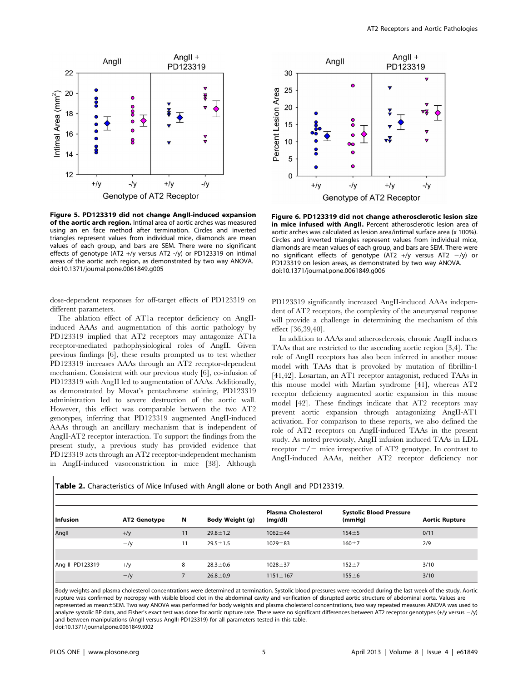

Figure 5. PD123319 did not change AngII-induced expansion of the aortic arch region. Intimal area of aortic arches was measured using an en face method after termination. Circles and inverted triangles represent values from individual mice, diamonds are mean values of each group, and bars are SEM. There were no significant effects of genotype (AT2 +/y versus AT2 -/y) or PD123319 on intimal areas of the aortic arch region, as demonstrated by two way ANOVA. doi:10.1371/journal.pone.0061849.g005

dose-dependent responses for off-target effects of PD123319 on different parameters.

The ablation effect of AT1a receptor deficiency on AngIIinduced AAAs and augmentation of this aortic pathology by PD123319 implied that AT2 receptors may antagonize AT1a receptor-mediated pathophysiological roles of AngII. Given previous findings [6], these results prompted us to test whether PD123319 increases AAAs through an AT2 receptor-dependent mechanism. Consistent with our previous study [6], co-infusion of PD123319 with AngII led to augmentation of AAAs. Additionally, as demonstrated by Movat's pentachrome staining, PD123319 administration led to severe destruction of the aortic wall. However, this effect was comparable between the two AT2 genotypes, inferring that PD123319 augmented AngII-induced AAAs through an ancillary mechanism that is independent of AngII-AT2 receptor interaction. To support the findings from the present study, a previous study has provided evidence that PD123319 acts through an AT2 receptor-independent mechanism in AngII-induced vasoconstriction in mice [38]. Although



Figure 6. PD123319 did not change atherosclerotic lesion size in mice infused with AngII. Percent atherosclerotic lesion area of aortic arches was calculated as lesion area/intimal surface area (x 100%). Circles and inverted triangles represent values from individual mice, diamonds are mean values of each group, and bars are SEM. There were no significant effects of genotype (AT2 +/y versus AT2  $-\prime$ y) or PD123319 on lesion areas, as demonstrated by two way ANOVA. doi:10.1371/journal.pone.0061849.g006

PD123319 significantly increased AngII-induced AAAs independent of AT2 receptors, the complexity of the aneurysmal response will provide a challenge in determining the mechanism of this effect [36,39,40].

In addition to AAAs and atherosclerosis, chronic AngII induces TAAs that are restricted to the ascending aortic region [3,4]. The role of AngII receptors has also been inferred in another mouse model with TAAs that is provoked by mutation of fibrillin-1 [41,42]. Losartan, an AT1 receptor antagonist, reduced TAAs in this mouse model with Marfan syndrome [41], whereas AT2 receptor deficiency augmented aortic expansion in this mouse model [42]. These findings indicate that AT2 receptors may prevent aortic expansion through antagonizing AngII-AT1 activation. For comparison to these reports, we also defined the role of AT2 receptors on AngII-induced TAAs in the present study. As noted previously, AngII infusion induced TAAs in LDL receptor  $-\prime$  mice irrespective of AT2 genotype. In contrast to AngII-induced AAAs, neither AT2 receptor deficiency nor

| Table 2. Characteristics of Mice Infused with Angll alone or both Angll and PD123319. |  |  |  |
|---------------------------------------------------------------------------------------|--|--|--|
|---------------------------------------------------------------------------------------|--|--|--|

| <b>Infusion</b> | AT2 Genotype   | N  | Body Weight (g) | <b>Plasma Cholesterol</b><br>(mg/dl) | <b>Systolic Blood Pressure</b><br>(mmHq) | <b>Aortic Rupture</b> |
|-----------------|----------------|----|-----------------|--------------------------------------|------------------------------------------|-----------------------|
| Angll           | $+\frac{y}{y}$ | 11 | $29.8 \pm 1.2$  | $1062 \pm 44$                        | $154 + 5$                                | 0/11                  |
|                 | $-y$           | 11 | $29.5 \pm 1.5$  | $1029 + 83$                          | $160 + 7$                                | 2/9                   |
|                 |                |    |                 |                                      |                                          |                       |
| Ang II+PD123319 | $+\frac{y}{y}$ | 8  | $28.3 \pm 0.6$  | $1028 + 37$                          | $152 + 7$                                | 3/10                  |
|                 | $-y$           |    | $26.8 \pm 0.9$  | $1151 \pm 167$                       | $155 + 6$                                | 3/10                  |

Body weights and plasma cholesterol concentrations were determined at termination. Systolic blood pressures were recorded during the last week of the study. Aortic rupture was confirmed by necropsy with visible blood clot in the abdominal cavity and verification of disrupted aortic structure of abdominal aorta. Values are represented as mean±SEM. Two way ANOVA was performed for body weights and plasma cholesterol concentrations, two way repeated measures ANOVA was used to analyze systolic BP data, and Fisher's exact test was done for aortic rupture rate. There were no significant differences between AT2 receptor genotypes (+/y versus -/y) and between manipulations (AngII versus AngII+PD123319) for all parameters tested in this table.

doi:10.1371/journal.pone.0061849.t002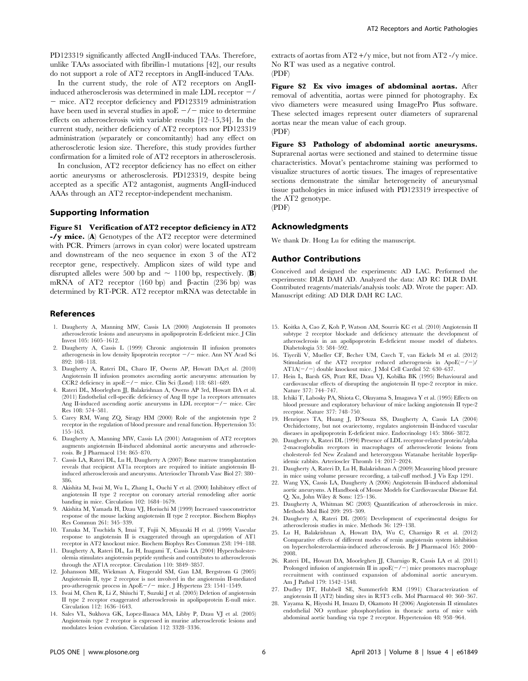PD123319 significantly affected AngII-induced TAAs. Therefore, unlike TAAs associated with fibrillin-1 mutations [42], our results do not support a role of AT2 receptors in AngII-induced TAAs.

In the current study, the role of AT2 receptors on AngIIinduced atherosclerosis was determined in male LDL receptor  $-\prime$ - mice. AT2 receptor deficiency and PD123319 administration have been used in several studies in apo $E - \ell$  mice to determine effects on atherosclerosis with variable results [12–15,34]. In the current study, neither deficiency of AT2 receptors nor PD123319 administration (separately or concomitantly) had any effect on atherosclerotic lesion size. Therefore, this study provides further confirmation for a limited role of AT2 receptors in atherosclerosis.

In conclusion, AT2 receptor deficiency has no effect on either aortic aneurysms or atherosclerosis. PD123319, despite being accepted as a specific AT2 antagonist, augments AngII-induced AAAs through an AT2 receptor-independent mechanism.

#### Supporting Information

Figure S1 Verification of AT2 receptor deficiency in AT2 -/y mice. (A) Genotypes of the AT2 receptor were determined with PCR. Primers (arrows in cyan color) were located upstream and downstream of the neo sequence in exon 3 of the AT2 receptor gene, respectively. Amplicon sizes of wild type and disrupted alleles were 500 bp and  $\sim$  1100 bp, respectively. (B) mRNA of AT2 receptor  $(160 \text{ bp})$  and  $\beta$ -actin  $(236 \text{ bp})$  was determined by RT-PCR. AT2 receptor mRNA was detectable in

#### References

- 1. Daugherty A, Manning MW, Cassis LA (2000) Angiotensin II promotes atherosclerotic lesions and aneurysms in apolipoprotein E-deficient mice. J Clin Invest 105: 1605–1612.
- 2. Daugherty A, Cassis L (1999) Chronic angiotensin II infusion promotes atherogenesis in low density lipoprotein receptor  $-/-$  mice. Ann NY Acad Sci 892: 108–118.
- 3. Daugherty A, Rateri DL, Charo IF, Owens AP, Howatt DA,et al. (2010) Angiotensin II infusion promotes ascending aortic aneurysms: attenuation by CCR2 deficiency in  $apoE-/-$  mice. Clin Sci (Lond) 118: 681–689.
- 4. Rateri DL, Moorleghen JJ, Balakrishnan A, Owens AP 3rd, Howatt DA et al. (2011) Endothelial cell-specific deficiency of Ang II type 1a receptors attenuates Ang II-induced ascending aortic aneurysms in LDL receptor $-\prime$  mice. Circ Res 108: 574–581.
- 5. Carey RM, Wang ZQ, Siragy HM (2000) Role of the angiotensin type 2 receptor in the regulation of blood pressure and renal function. Hypertension 35: 155–163.
- 6. Daugherty A, Manning MW, Cassis LA (2001) Antagonism of AT2 receptors augments angiotensin II-induced abdominal aortic aneurysms and atherosclerosis. Br J Pharmacol 134: 865–870.
- 7. Cassis LA, Rateri DL, Lu H, Daugherty A (2007) Bone marrow transplantation reveals that recipient AT1a receptors are required to initiate angiotensin IIinduced atherosclerosis and aneurysms. Arterioscler Thromb Vasc Biol 27: 380– 386.
- 8. Akishita M, Iwai M, Wu L, Zhang L, Ouchi Y et al. (2000) Inhibitory effect of angiotensin II type 2 receptor on coronary arterial remodeling after aortic banding in mice. Circulation 102: 1684–1679.
- 9. Akishita M, Yamada H, Dzau VJ, Horiuchi M (1999) Increased vasoconstrictor response of the mouse lacking angiotensin II type 2 receptor. Biochem Biophys Res Commun 261: 345–339.
- 10. Tanaka M, Tsuchida S, Imai T, Fujii N, Miyazaki H et al. (1999) Vascular response to angiotensin II is exaggerated through an upregulation of AT1 receptor in AT2 knockout mice. Biochem Biophys Res Commun 258: 194–188.
- 11. Daugherty A, Rateri DL, Lu H, Inagami T, Cassis LA (2004) Hypercholesterolemia stimulates angiotensin peptide synthesis and contributes to atherosclerosis through the AT1A receptor. Circulation 110: 3849–3857.
- 12. Johansson ME, Wickman A, Fitzgerald SM, Gan LM, Bergstrom G (2005) Angiotensin II, type 2 receptor is not involved in the angiotensin II-mediated pro-atherogenic process in ApoE $-\prime$  mice. J Hypertens 23: 1541–1549.
- 13. Iwai M, Chen R, Li Z, Shiuchi T, Suzuki J et al. (2005) Deletion of angiotensin II type 2 receptor exaggerated atherosclerosis in apolipoprotein E-null mice. Circulation 112: 1636–1643.
- 14. Sales VL, Sukhova GK, Lopez-Ilasaca MA, Libby P, Dzau VJ et al. (2005) Angiotensin type 2 receptor is expressed in murine atherosclerotic lesions and modulates lesion evolution. Circulation 112: 3328–3336.

extracts of aortas from AT2 +/y mice, but not from AT2 -/y mice. No RT was used as a negative control. (PDF)

Figure S2 Ex vivo images of abdominal aortas. After removal of adventitia, aortas were pinned for photography. Ex vivo diameters were measured using ImagePro Plus software. These selected images represent outer diameters of suprarenal aortas near the mean value of each group. (PDF)

Figure S3 Pathology of abdominal aortic aneurysms. Suprarenal aortas were sectioned and stained to determine tissue characteristics. Movat's pentachrome staining was performed to visualize structures of aortic tissues. The images of representative sections demonstrate the similar heterogeneity of aneurysmal tissue pathologies in mice infused with PD123319 irrespective of the AT2 genotype. (PDF)

#### Acknowledgments

We thank Dr. Hong Lu for editing the manuscript.

#### Author Contributions

Conceived and designed the experiments: AD LAC. Performed the experiments: DLR DAH AD. Analyzed the data: AD RC DLR DAH. Contributed reagents/materials/analysis tools: AD. Wrote the paper: AD. Manuscript editing: AD DLR DAH RC LAC.

- 15. Koitka A, Cao Z, Koh P, Watson AM, Sourris KC et al. (2010) Angiotensin II subtype 2 receptor blockade and deficiency attenuate the development of atherosclerosis in an apolipoprotein E-deficient mouse model of diabetes. Diabetologia 53: 584–592.
- 16. Tiyerili V, Mueller CF, Becher UM, Czech T, van Eickels M et al. (2012) Stimulation of the AT2 receptor reduced atherogenesis in ApoE $(-/-)$ /  $AT1A(-/-)$  double knockout mice. J Mol Cell Cardiol 52: 630–637.
- 17. Hein L, Barsh GS, Pratt RE, Dzau VJ, Kobilka BK (1995) Behavioural and cardiovascular effects of disrupting the angiotensin II type-2 receptor in mice. Nature 377: 744–747.
- 18. Ichiki T, Labosky PA, Shiota C, Okuyama S, Imagawa Y et al. (1995) Effects on blood pressure and exploratory behaviour of mice lacking angiotensin II type-2 receptor. Nature 377: 748–750.
- 19. Henriques TA, Huang J, D'Souza SS, Daugherty A, Cassis LA (2004) Orchidectomy, but not ovariectomy, regulates angiotensin II-induced vascular diseases in apolipoprotein E-deficient mice. Endocrinology 145: 3866–3872.
- 20. Daugherty A, Rateri DL (1994) Presence of LDL receptor-related protein/alpha 2-macroglobulin receptors in macrophages of atherosclerotic lesions from cholesterol- fed New Zealand and heterozygous Watanabe heritable hyperlipidemic rabbits. Arterioscler Thromb 14: 2017–2024.
- 21. Daugherty A, Rateri D, Lu H, Balakrishnan A (2009) Measuring blood pressure in mice using volume pressure recording, a tail-cuff method. J Vis Exp 1291.
- 22. Wang YX, Cassis LA, Daugherty A (2006) Angiotensin II-induced abdominal aortic aneurysms. A Handbook of Mouse Models for Cardiovascular Disease Ed. Q. Xu, John Wiley & Sons: 125–136.
- 23. Daugherty A, Whitman SC (2003) Quantification of atherosclerosis in mice. Methods Mol Biol 209: 293–309.
- 24. Daugherty A, Rateri DL (2005) Development of experimental designs for atherosclerosis studies in mice. Methods 36: 129–138.
- 25. Lu H, Balakrishnan A, Howatt DA, Wu C, Charnigo R et al. (2012) Comparative effects of different modes of renin angiotensin system inhibition on hypercholesterolaemia-induced atherosclerosis. Br J Pharmacol 165: 2000– 2008.
- 26. Rateri DL, Howatt DA, Moorleghen JJ, Charnigo R, Cassis LA et al. (2011) Prolonged infusion of angiotensin II in apo $\mathrm{E}(-/-)$  mice promotes macrophage recruitment with continued expansion of abdominal aortic aneurysm. Am J Pathol 179: 1542–1548.
- 27. Dudley DT, Hubbell SE, Summerfelt RM (1991) Characterization of angiotensin II (AT2) binding sites in R3T3 cells. Mol Pharmacol 40: 360–367.
- 28. Yayama K, Hiyoshi H, Imazu D, Okamoto H (2006) Angiotensin II stimulates endothelial NO synthase phosphorylation in thoracic aorta of mice with abdominal aortic banding via type 2 receptor. Hypertension 48: 958–964.